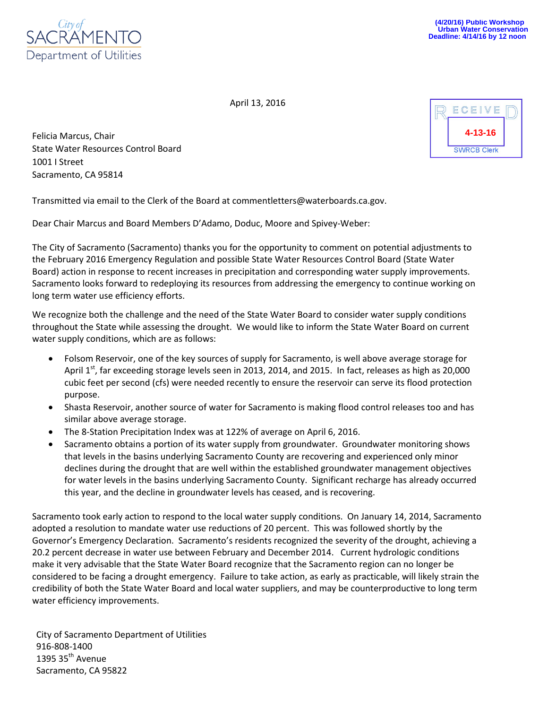

April 13, 2016

Felicia Marcus, Chair State Water Resources Control Board 1001 I Street Sacramento, CA 95814



Transmitted via email to the Clerk of the Board at commentletters@waterboards.ca.gov.

Dear Chair Marcus and Board Members D'Adamo, Doduc, Moore and Spivey-Weber:

The City of Sacramento (Sacramento) thanks you for the opportunity to comment on potential adjustments to the February 2016 Emergency Regulation and possible State Water Resources Control Board (State Water Board) action in response to recent increases in precipitation and corresponding water supply improvements. Sacramento looks forward to redeploying its resources from addressing the emergency to continue working on long term water use efficiency efforts.

We recognize both the challenge and the need of the State Water Board to consider water supply conditions throughout the State while assessing the drought. We would like to inform the State Water Board on current water supply conditions, which are as follows:

- Folsom Reservoir, one of the key sources of supply for Sacramento, is well above average storage for April  $1<sup>st</sup>$ , far exceeding storage levels seen in 2013, 2014, and 2015. In fact, releases as high as 20,000 cubic feet per second (cfs) were needed recently to ensure the reservoir can serve its flood protection purpose.
- Shasta Reservoir, another source of water for Sacramento is making flood control releases too and has similar above average storage.
- The 8-Station Precipitation Index was at 122% of average on April 6, 2016.
- Sacramento obtains a portion of its water supply from groundwater. Groundwater monitoring shows that levels in the basins underlying Sacramento County are recovering and experienced only minor declines during the drought that are well within the established groundwater management objectives for water levels in the basins underlying Sacramento County. Significant recharge has already occurred this year, and the decline in groundwater levels has ceased, and is recovering.

Sacramento took early action to respond to the local water supply conditions. On January 14, 2014, Sacramento adopted a resolution to mandate water use reductions of 20 percent. This was followed shortly by the Governor's Emergency Declaration. Sacramento's residents recognized the severity of the drought, achieving a 20.2 percent decrease in water use between February and December 2014. Current hydrologic conditions make it very advisable that the State Water Board recognize that the Sacramento region can no longer be considered to be facing a drought emergency. Failure to take action, as early as practicable, will likely strain the credibility of both the State Water Board and local water suppliers, and may be counterproductive to long term water efficiency improvements.

City of Sacramento Department of Utilities 916-808-1400 1395  $35<sup>th</sup>$  Avenue Sacramento, CA 95822